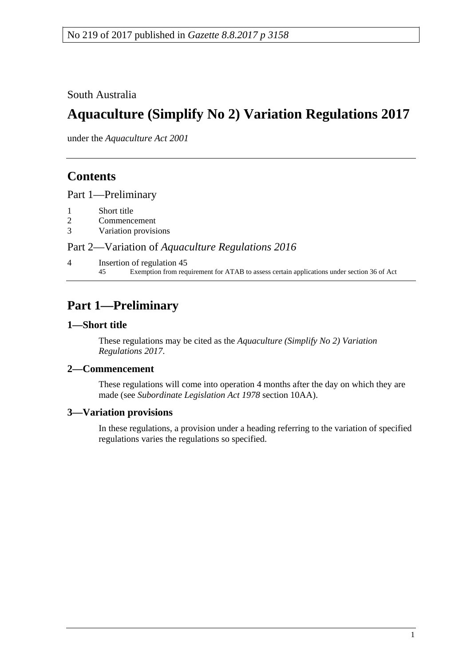South Australia

# **Aquaculture (Simplify No 2) Variation Regulations 2017**

under the *Aquaculture Act 2001*

# **Contents**

Part [1—Preliminary](#page-0-0)

- 1 [Short title](#page-0-1)
- 2 [Commencement](#page-0-2)
- 3 [Variation provisions](#page-0-3)

### Part 2—Variation of *[Aquaculture Regulations](#page-1-0) 2016*

4 [Insertion of regulation 45](#page-1-1) 45 Exemption from requirement for ATAB to assess certain applications under section 36 of Act

# <span id="page-0-0"></span>**Part 1—Preliminary**

#### <span id="page-0-1"></span>**1—Short title**

These regulations may be cited as the *Aquaculture (Simplify No 2) Variation Regulations 2017*.

#### <span id="page-0-2"></span>**2—Commencement**

These regulations will come into operation 4 months after the day on which they are made (see *[Subordinate Legislation Act](http://www.legislation.sa.gov.au/index.aspx?action=legref&type=act&legtitle=Subordinate%20Legislation%20Act%201978) 1978* section 10AA).

#### <span id="page-0-3"></span>**3—Variation provisions**

In these regulations, a provision under a heading referring to the variation of specified regulations varies the regulations so specified.